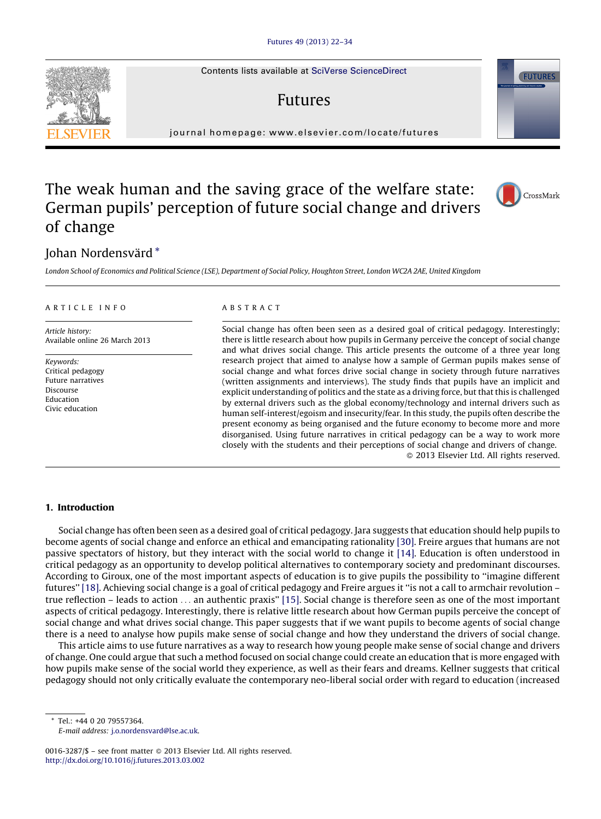Contents lists available at SciVerse [ScienceDirect](http://www.sciencedirect.com/science/journal/00163287)

## Futures

journal homepage: www.elsevier.com/locate/futures

# The weak human and the saving grace of the welfare state: German pupils' perception of future social change and drivers of change

### Johan Nordensvärd \*

London School of Economics and Political Science (LSE), Department of Social Policy, Houghton Street, London WC2A 2AE, United Kingdom

#### A R T I C I E I N E O

Article history: Available online 26 March 2013

Keywords: Critical pedagogy Future narratives Discourse Education Civic education

#### A B S T R A C T

Social change has often been seen as a desired goal of critical pedagogy. Interestingly; there is little research about how pupils in Germany perceive the concept of social change and what drives social change. This article presents the outcome of a three year long research project that aimed to analyse how a sample of German pupils makes sense of social change and what forces drive social change in society through future narratives (written assignments and interviews). The study finds that pupils have an implicit and explicit understanding of politics and the state as a driving force, but that this is challenged by external drivers such as the global economy/technology and internal drivers such as human self-interest/egoism and insecurity/fear. In this study, the pupils often describe the present economy as being organised and the future economy to become more and more disorganised. Using future narratives in critical pedagogy can be a way to work more closely with the students and their perceptions of social change and drivers of change. - 2013 Elsevier Ltd. All rights reserved.

#### 1. Introduction

Social change has often been seen as a desired goal of critical pedagogy. Jara suggests that education should help pupils to become agents of social change and enforce an ethical and emancipating rationality [\[30\]](#page--1-0). Freire argues that humans are not passive spectators of history, but they interact with the social world to change it [\[14\]](#page--1-0). Education is often understood in critical pedagogy as an opportunity to develop political alternatives to contemporary society and predominant discourses. According to Giroux, one of the most important aspects of education is to give pupils the possibility to ''imagine different futures'' [\[18\].](#page--1-0) Achieving social change is a goal of critical pedagogy and Freire argues it ''is not a call to armchair revolution – true reflection – leads to action . . . an authentic praxis'' [\[15\]](#page--1-0). Social change is therefore seen as one of the most important aspects of critical pedagogy. Interestingly, there is relative little research about how German pupils perceive the concept of social change and what drives social change. This paper suggests that if we want pupils to become agents of social change there is a need to analyse how pupils make sense of social change and how they understand the drivers of social change.

This article aims to use future narratives as a way to research how young people make sense of social change and drivers of change. One could argue that such a method focused on social change could create an education that is more engaged with how pupils make sense of the social world they experience, as well as their fears and dreams. Kellner suggests that critical pedagogy should not only critically evaluate the contemporary neo-liberal social order with regard to education (increased

Tel.: +44 0 20 79557364.

E-mail address: [j.o.nordensvard@lse.ac.uk](mailto:j.o.nordensvard@lse.ac.uk).







<sup>0016-3287/\$ –</sup> see front matter © 2013 Elsevier Ltd. All rights reserved. <http://dx.doi.org/10.1016/j.futures.2013.03.002>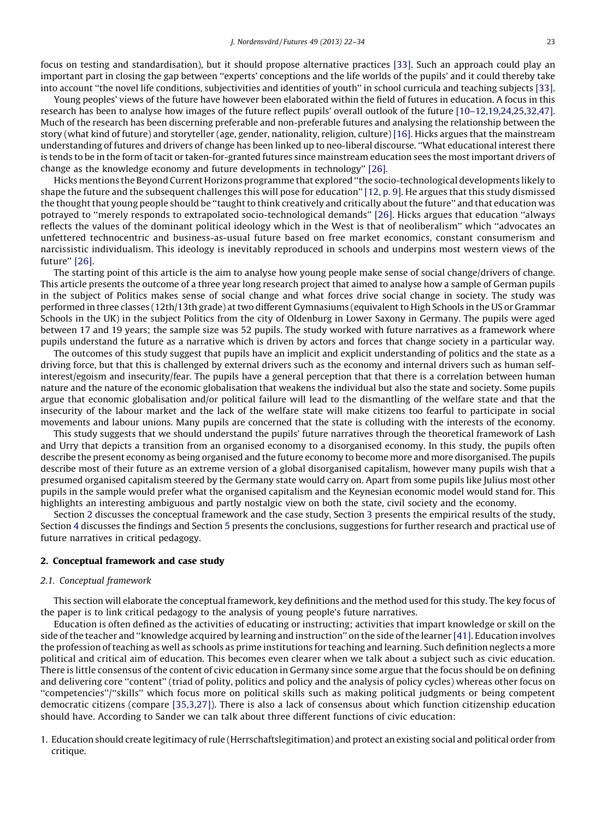focus on testing and standardisation), but it should propose alternative practices [\[33\]](#page--1-0). Such an approach could play an important part in closing the gap between ''experts' conceptions and the life worlds of the pupils' and it could thereby take into account ''the novel life conditions, subjectivities and identities of youth'' in school curricula and teaching subjects [\[33\]](#page--1-0).

Young peoples' views of the future have however been elaborated within the field of futures in education. A focus in this research has been to analyse how images of the future reflect pupils' overall outlook of the future [\[10–12,19,24,25,32,47\]](#page--1-0). Much of the research has been discerning preferable and non-preferable futures and analysing the relationship between the story (what kind of future) and storyteller (age, gender, nationality, religion, culture) [\[16\]](#page--1-0). Hicks argues that the mainstream understanding of futures and drivers of change has been linked up to neo-liberal discourse. ''What educational interest there is tends to be in the form of tacit or taken-for-granted futures since mainstream education sees the most important drivers of change as the knowledge economy and future developments in technology'' [\[26\].](#page--1-0)

Hicks mentions the Beyond Current Horizons programme that explored ''the socio-technological developments likely to shape the future and the subsequent challenges this will pose for education'' [\[12,](#page--1-0) p. 9]. He argues that this study dismissed the thought that young people should be "taught to think creatively and critically about the future" and that education was potrayed to ''merely responds to extrapolated socio-technological demands'' [\[26\].](#page--1-0) Hicks argues that education ''always reflects the values of the dominant political ideology which in the West is that of neoliberalism'' which ''advocates an unfettered technocentric and business-as-usual future based on free market economics, constant consumerism and narcissistic individualism. This ideology is inevitably reproduced in schools and underpins most western views of the future'' [\[26\].](#page--1-0)

The starting point of this article is the aim to analyse how young people make sense of social change/drivers of change. This article presents the outcome of a three year long research project that aimed to analyse how a sample of German pupils in the subject of Politics makes sense of social change and what forces drive social change in society. The study was performed in three classes (12th/13th grade) at two different Gymnasiums (equivalent to High Schools in the US or Grammar Schools in the UK) in the subject Politics from the city of Oldenburg in Lower Saxony in Germany. The pupils were aged between 17 and 19 years; the sample size was 52 pupils. The study worked with future narratives as a framework where pupils understand the future as a narrative which is driven by actors and forces that change society in a particular way.

The outcomes of this study suggest that pupils have an implicit and explicit understanding of politics and the state as a driving force, but that this is challenged by external drivers such as the economy and internal drivers such as human selfinterest/egoism and insecurity/fear. The pupils have a general perception that that there is a correlation between human nature and the nature of the economic globalisation that weakens the individual but also the state and society. Some pupils argue that economic globalisation and/or political failure will lead to the dismantling of the welfare state and that the insecurity of the labour market and the lack of the welfare state will make citizens too fearful to participate in social movements and labour unions. Many pupils are concerned that the state is colluding with the interests of the economy.

This study suggests that we should understand the pupils' future narratives through the theoretical framework of Lash and Urry that depicts a transition from an organised economy to a disorganised economy. In this study, the pupils often describe the present economy as being organised and the future economy to become more and more disorganised. The pupils describe most of their future as an extreme version of a global disorganised capitalism, however many pupils wish that a presumed organised capitalism steered by the Germany state would carry on. Apart from some pupils like Julius most other pupils in the sample would prefer what the organised capitalism and the Keynesian economic model would stand for. This highlights an interesting ambiguous and partly nostalgic view on both the state, civil society and the economy.

Section 2 discusses the conceptual framework and the case study, Section [3](#page--1-0) presents the empirical results of the study, Section [4](#page--1-0) discusses the findings and Section [5](#page--1-0) presents the conclusions, suggestions for further research and practical use of future narratives in critical pedagogy.

#### 2. Conceptual framework and case study

#### 2.1. Conceptual framework

This section will elaborate the conceptual framework, key definitions and the method used for this study. The key focus of the paper is to link critical pedagogy to the analysis of young people's future narratives.

Education is often defined as the activities of educating or instructing; activities that impart knowledge or skill on the side ofthe teacher and ''knowledge acquired by learning and instruction'' on the side ofthe learner [\[41\].](#page--1-0) Education involves the profession ofteaching as well as schools as prime institutions for teaching and learning. Such definition neglects a more political and critical aim of education. This becomes even clearer when we talk about a subject such as civic education. There is little consensus of the content of civic education in Germany since some argue that the focus should be on defining and delivering core ''content'' (triad of polity, politics and policy and the analysis of policy cycles) whereas other focus on ''competencies''/''skills'' which focus more on political skills such as making political judgments or being competent democratic citizens (compare [\[35,3,27\]](#page--1-0)). There is also a lack of consensus about which function citizenship education should have. According to Sander we can talk about three different functions of civic education:

1. Education should create legitimacy of rule (Herrschaftslegitimation) and protect an existing social and political order from critique.